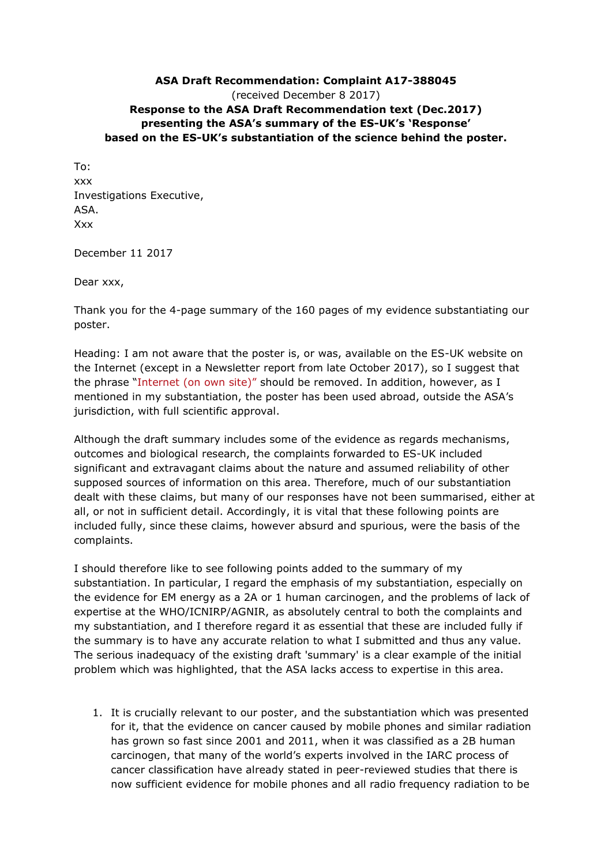## **ASA Draft Recommendation: Complaint A17-388045** (received December 8 2017) **Response to the ASA Draft Recommendation text (Dec.2017) presenting the ASA's summary of the ES-UK's 'Response' based on the ES-UK's substantiation of the science behind the poster.**

To: xxx Investigations Executive, ASA. Xxx

December 11 2017

Dear xxx,

Thank you for the 4-page summary of the 160 pages of my evidence substantiating our poster.

Heading: I am not aware that the poster is, or was, available on the ES-UK website on the Internet (except in a Newsletter report from late October 2017), so I suggest that the phrase "Internet (on own site)" should be removed. In addition, however, as I mentioned in my substantiation, the poster has been used abroad, outside the ASA's jurisdiction, with full scientific approval.

Although the draft summary includes some of the evidence as regards mechanisms, outcomes and biological research, the complaints forwarded to ES-UK included significant and extravagant claims about the nature and assumed reliability of other supposed sources of information on this area. Therefore, much of our substantiation dealt with these claims, but many of our responses have not been summarised, either at all, or not in sufficient detail. Accordingly, it is vital that these following points are included fully, since these claims, however absurd and spurious, were the basis of the complaints.

I should therefore like to see following points added to the summary of my substantiation. In particular, I regard the emphasis of my substantiation, especially on the evidence for EM energy as a 2A or 1 human carcinogen, and the problems of lack of expertise at the WHO/ICNIRP/AGNIR, as absolutely central to both the complaints and my substantiation, and I therefore regard it as essential that these are included fully if the summary is to have any accurate relation to what I submitted and thus any value. The serious inadequacy of the existing draft 'summary' is a clear example of the initial problem which was highlighted, that the ASA lacks access to expertise in this area.

1. It is crucially relevant to our poster, and the substantiation which was presented for it, that the evidence on cancer caused by mobile phones and similar radiation has grown so fast since 2001 and 2011, when it was classified as a 2B human carcinogen, that many of the world's experts involved in the IARC process of cancer classification have already stated in peer-reviewed studies that there is now sufficient evidence for mobile phones and all radio frequency radiation to be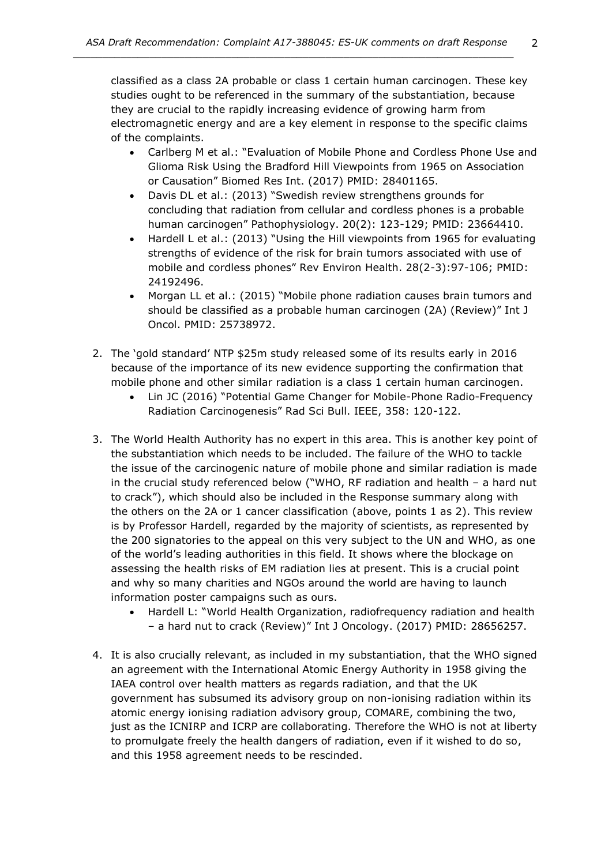classified as a class 2A probable or class 1 certain human carcinogen. These key studies ought to be referenced in the summary of the substantiation, because they are crucial to the rapidly increasing evidence of growing harm from electromagnetic energy and are a key element in response to the specific claims of the complaints.

- Carlberg M et al.: "Evaluation of Mobile Phone and Cordless Phone Use and Glioma Risk Using the Bradford Hill Viewpoints from 1965 on Association or Causation" Biomed Res Int. (2017) PMID: 28401165.
- Davis DL et al.: (2013) "Swedish review strengthens grounds for concluding that radiation from cellular and cordless phones is a probable human carcinogen" Pathophysiology. 20(2): 123-129; PMID: 23664410.
- Hardell L et al.: (2013) "Using the Hill viewpoints from 1965 for evaluating strengths of evidence of the risk for brain tumors associated with use of mobile and cordless phones" Rev Environ Health. 28(2-3):97-106; PMID: 24192496.
- Morgan LL et al.: (2015) "Mobile phone radiation causes brain tumors and should be classified as a probable human carcinogen (2A) (Review)" Int J Oncol. PMID: 25738972.
- 2. The 'gold standard' NTP \$25m study released some of its results early in 2016 because of the importance of its new evidence supporting the confirmation that mobile phone and other similar radiation is a class 1 certain human carcinogen.
	- Lin JC (2016) "Potential Game Changer for Mobile-Phone Radio-Frequency Radiation Carcinogenesis" Rad Sci Bull. IEEE, 358: 120-122.
- 3. The World Health Authority has no expert in this area. This is another key point of the substantiation which needs to be included. The failure of the WHO to tackle the issue of the carcinogenic nature of mobile phone and similar radiation is made in the crucial study referenced below ("WHO, RF radiation and health – a hard nut to crack"), which should also be included in the Response summary along with the others on the 2A or 1 cancer classification (above, points 1 as 2). This review is by Professor Hardell, regarded by the majority of scientists, as represented by the 200 signatories to the appeal on this very subject to the UN and WHO, as one of the world's leading authorities in this field. It shows where the blockage on assessing the health risks of EM radiation lies at present. This is a crucial point and why so many charities and NGOs around the world are having to launch information poster campaigns such as ours.
	- Hardell L: "World Health Organization, radiofrequency radiation and health – a hard nut to crack (Review)" Int J Oncology. (2017) PMID: 28656257.
- 4. It is also crucially relevant, as included in my substantiation, that the WHO signed an agreement with the International Atomic Energy Authority in 1958 giving the IAEA control over health matters as regards radiation, and that the UK government has subsumed its advisory group on non-ionising radiation within its atomic energy ionising radiation advisory group, COMARE, combining the two, just as the ICNIRP and ICRP are collaborating. Therefore the WHO is not at liberty to promulgate freely the health dangers of radiation, even if it wished to do so, and this 1958 agreement needs to be rescinded.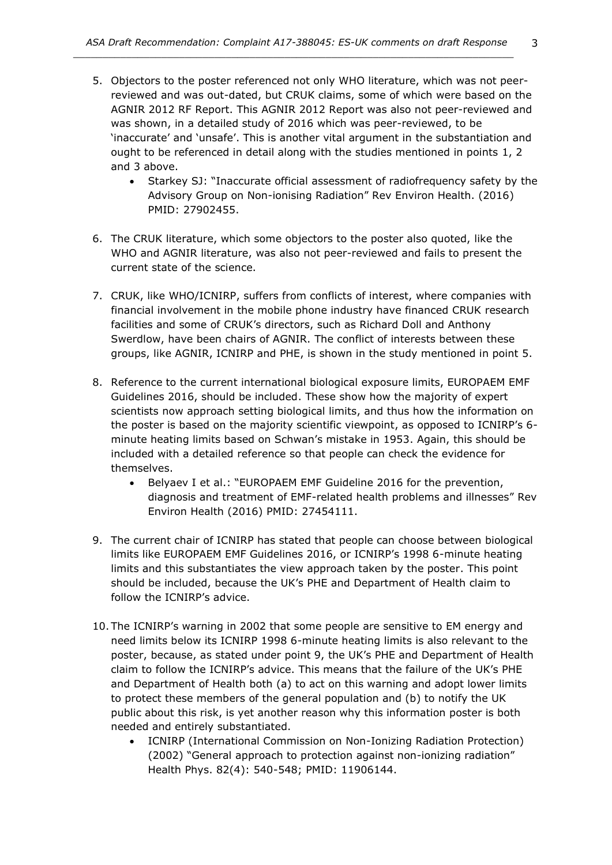- 5. Objectors to the poster referenced not only WHO literature, which was not peerreviewed and was out-dated, but CRUK claims, some of which were based on the AGNIR 2012 RF Report. This AGNIR 2012 Report was also not peer-reviewed and was shown, in a detailed study of 2016 which was peer-reviewed, to be 'inaccurate' and 'unsafe'. This is another vital argument in the substantiation and ought to be referenced in detail along with the studies mentioned in points 1, 2 and 3 above.
	- Starkey SJ: "Inaccurate official assessment of radiofrequency safety by the Advisory Group on Non-ionising Radiation" Rev Environ Health. (2016) PMID: 27902455.
- 6. The CRUK literature, which some objectors to the poster also quoted, like the WHO and AGNIR literature, was also not peer-reviewed and fails to present the current state of the science.
- 7. CRUK, like WHO/ICNIRP, suffers from conflicts of interest, where companies with financial involvement in the mobile phone industry have financed CRUK research facilities and some of CRUK's directors, such as Richard Doll and Anthony Swerdlow, have been chairs of AGNIR. The conflict of interests between these groups, like AGNIR, ICNIRP and PHE, is shown in the study mentioned in point 5.
- 8. Reference to the current international biological exposure limits, EUROPAEM EMF Guidelines 2016, should be included. These show how the majority of expert scientists now approach setting biological limits, and thus how the information on the poster is based on the majority scientific viewpoint, as opposed to ICNIRP's 6 minute heating limits based on Schwan's mistake in 1953. Again, this should be included with a detailed reference so that people can check the evidence for themselves.
	- Belyaev I et al.: "EUROPAEM EMF Guideline 2016 for the prevention, diagnosis and treatment of EMF-related health problems and illnesses" Rev Environ Health (2016) PMID: 27454111.
- 9. The current chair of ICNIRP has stated that people can choose between biological limits like EUROPAEM EMF Guidelines 2016, or ICNIRP's 1998 6-minute heating limits and this substantiates the view approach taken by the poster. This point should be included, because the UK's PHE and Department of Health claim to follow the ICNIRP's advice.
- 10. The ICNIRP's warning in 2002 that some people are sensitive to EM energy and need limits below its ICNIRP 1998 6-minute heating limits is also relevant to the poster, because, as stated under point 9, the UK's PHE and Department of Health claim to follow the ICNIRP's advice. This means that the failure of the UK's PHE and Department of Health both (a) to act on this warning and adopt lower limits to protect these members of the general population and (b) to notify the UK public about this risk, is yet another reason why this information poster is both needed and entirely substantiated.
	- ICNIRP (International Commission on Non-Ionizing Radiation Protection) (2002) "General approach to protection against non-ionizing radiation" Health Phys. 82(4): 540-548; PMID: 11906144.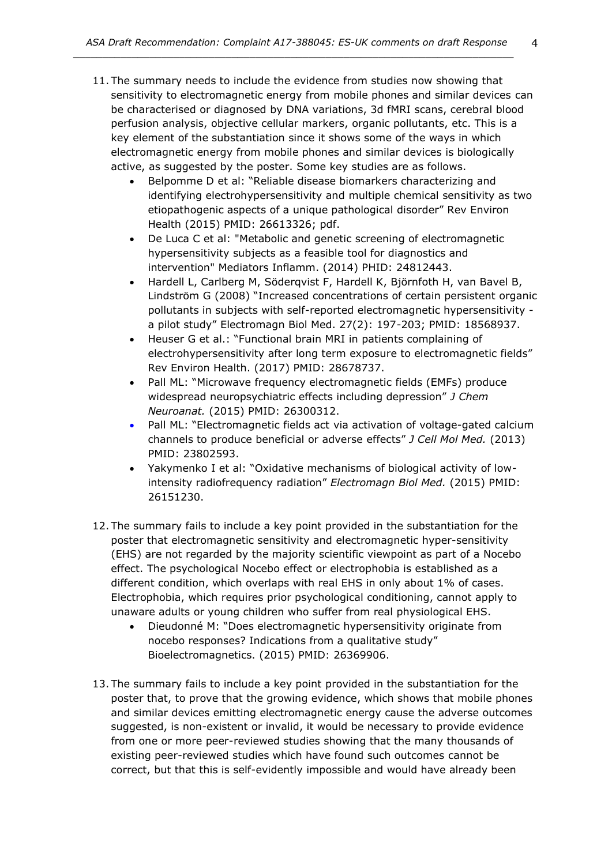- 11. The summary needs to include the evidence from studies now showing that sensitivity to electromagnetic energy from mobile phones and similar devices can be characterised or diagnosed by DNA variations, 3d fMRI scans, cerebral blood perfusion analysis, objective cellular markers, organic pollutants, etc. This is a key element of the substantiation since it shows some of the ways in which electromagnetic energy from mobile phones and similar devices is biologically active, as suggested by the poster. Some key studies are as follows.
	- Belpomme D et al: "Reliable disease biomarkers characterizing and identifying electrohypersensitivity and multiple chemical sensitivity as two etiopathogenic aspects of a unique pathological disorder" Rev Environ Health (2015) PMID: 26613326; pdf.
	- De Luca C et al: "Metabolic and genetic screening of electromagnetic hypersensitivity subjects as a feasible tool for diagnostics and intervention" Mediators Inflamm. (2014) PHID: 24812443.
	- Hardell L, Carlberg M, Söderqvist F, Hardell K, Björnfoth H, van Bavel B, Lindström G (2008) "Increased concentrations of certain persistent organic pollutants in subjects with self-reported electromagnetic hypersensitivity a pilot study" Electromagn Biol Med. 27(2): 197-203; PMID: 18568937.
	- Heuser G et al.: "Functional brain MRI in patients complaining of electrohypersensitivity after long term exposure to electromagnetic fields" Rev Environ Health. (2017) PMID: 28678737.
	- Pall ML: "Microwave frequency electromagnetic fields (EMFs) produce widespread neuropsychiatric effects including depression" *J Chem Neuroanat.* (2015) PMID: 26300312.
	- Pall ML: "Electromagnetic fields act via activation of voltage-gated calcium channels to produce beneficial or adverse effects" *J Cell Mol Med.* (2013) PMID: 23802593.
	- Yakymenko I et al: "Oxidative mechanisms of biological activity of lowintensity radiofrequency radiation" *Electromagn Biol Med.* (2015) PMID: 26151230.
- 12. The summary fails to include a key point provided in the substantiation for the poster that electromagnetic sensitivity and electromagnetic hyper-sensitivity (EHS) are not regarded by the majority scientific viewpoint as part of a Nocebo effect. The psychological Nocebo effect or electrophobia is established as a different condition, which overlaps with real EHS in only about 1% of cases. Electrophobia, which requires prior psychological conditioning, cannot apply to unaware adults or young children who suffer from real physiological EHS.
	- Dieudonné M: "Does electromagnetic hypersensitivity originate from nocebo responses? Indications from a qualitative study" Bioelectromagnetics. (2015) PMID: 26369906.
- 13. The summary fails to include a key point provided in the substantiation for the poster that, to prove that the growing evidence, which shows that mobile phones and similar devices emitting electromagnetic energy cause the adverse outcomes suggested, is non-existent or invalid, it would be necessary to provide evidence from one or more peer-reviewed studies showing that the many thousands of existing peer-reviewed studies which have found such outcomes cannot be correct, but that this is self-evidently impossible and would have already been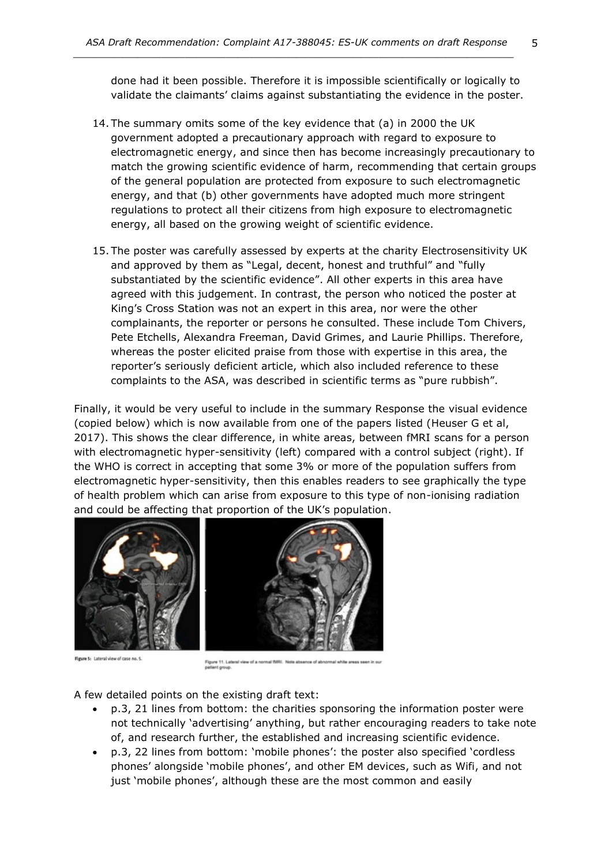done had it been possible. Therefore it is impossible scientifically or logically to validate the claimants' claims against substantiating the evidence in the poster.

- 14. The summary omits some of the key evidence that (a) in 2000 the UK government adopted a precautionary approach with regard to exposure to electromagnetic energy, and since then has become increasingly precautionary to match the growing scientific evidence of harm, recommending that certain groups of the general population are protected from exposure to such electromagnetic energy, and that (b) other governments have adopted much more stringent regulations to protect all their citizens from high exposure to electromagnetic energy, all based on the growing weight of scientific evidence.
- 15. The poster was carefully assessed by experts at the charity Electrosensitivity UK and approved by them as "Legal, decent, honest and truthful" and "fully substantiated by the scientific evidence". All other experts in this area have agreed with this judgement. In contrast, the person who noticed the poster at King's Cross Station was not an expert in this area, nor were the other complainants, the reporter or persons he consulted. These include Tom Chivers, Pete Etchells, Alexandra Freeman, David Grimes, and Laurie Phillips. Therefore, whereas the poster elicited praise from those with expertise in this area, the reporter's seriously deficient article, which also included reference to these complaints to the ASA, was described in scientific terms as "pure rubbish".

Finally, it would be very useful to include in the summary Response the visual evidence (copied below) which is now available from one of the papers listed (Heuser G et al, 2017). This shows the clear difference, in white areas, between fMRI scans for a person with electromagnetic hyper-sensitivity (left) compared with a control subject (right). If the WHO is correct in accepting that some 3% or more of the population suffers from electromagnetic hyper-sensitivity, then this enables readers to see graphically the type of health problem which can arise from exposure to this type of non-ionising radiation and could be affecting that proportion of the UK's population.



Figure 5: Lateral view of case no. 5.



Figure 11. Lateral view of a normal fMRI. Note ab<br>patient group.

A few detailed points on the existing draft text:

- p.3, 21 lines from bottom: the charities sponsoring the information poster were not technically 'advertising' anything, but rather encouraging readers to take note of, and research further, the established and increasing scientific evidence.
- p.3, 22 lines from bottom: 'mobile phones': the poster also specified 'cordless phones' alongside 'mobile phones', and other EM devices, such as Wifi, and not just 'mobile phones', although these are the most common and easily

5